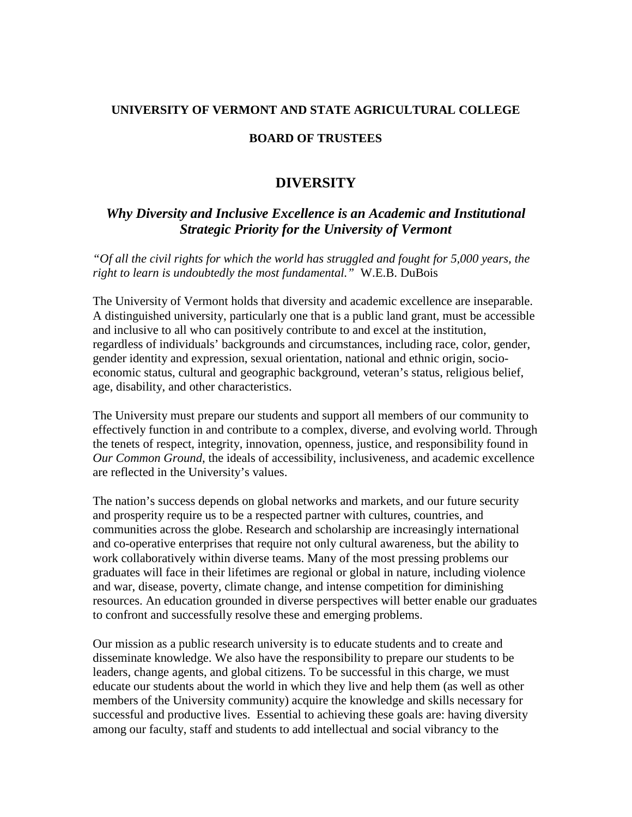## **UNIVERSITY OF VERMONT AND STATE AGRICULTURAL COLLEGE**

## **BOARD OF TRUSTEES**

## **DIVERSITY**

## *Why Diversity and Inclusive Excellence is an Academic and Institutional Strategic Priority for the University of Vermont*

*"Of all the civil rights for which the world has struggled and fought for 5,000 years, the right to learn is undoubtedly the most fundamental."* W.E.B. DuBois

The University of Vermont holds that diversity and academic excellence are inseparable. A distinguished university, particularly one that is a public land grant, must be accessible and inclusive to all who can positively contribute to and excel at the institution, regardless of individuals' backgrounds and circumstances, including race, color, gender, gender identity and expression, sexual orientation, national and ethnic origin, socioeconomic status, cultural and geographic background, veteran's status, religious belief, age, disability, and other characteristics.

The University must prepare our students and support all members of our community to effectively function in and contribute to a complex, diverse, and evolving world. Through the tenets of respect, integrity, innovation, openness, justice, and responsibility found in *Our Common Ground*, the ideals of accessibility, inclusiveness, and academic excellence are reflected in the University's values.

The nation's success depends on global networks and markets, and our future security and prosperity require us to be a respected partner with cultures, countries, and communities across the globe. Research and scholarship are increasingly international and co-operative enterprises that require not only cultural awareness, but the ability to work collaboratively within diverse teams. Many of the most pressing problems our graduates will face in their lifetimes are regional or global in nature, including violence and war, disease, poverty, climate change, and intense competition for diminishing resources. An education grounded in diverse perspectives will better enable our graduates to confront and successfully resolve these and emerging problems.

Our mission as a public research university is to educate students and to create and disseminate knowledge. We also have the responsibility to prepare our students to be leaders, change agents, and global citizens. To be successful in this charge, we must educate our students about the world in which they live and help them (as well as other members of the University community) acquire the knowledge and skills necessary for successful and productive lives. Essential to achieving these goals are: having diversity among our faculty, staff and students to add intellectual and social vibrancy to the